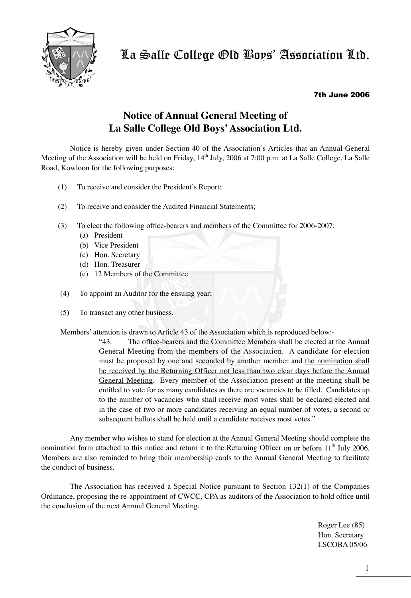

## 7th June 2006

## **Notice of Annual General Meeting of La Salle College Old Boys' Association Ltd.**

Notice is hereby given under Section 40 of the Association's Articles that an Annual General Meeting of the Association will be held on Friday, 14<sup>th</sup> July, 2006 at 7:00 p.m. at La Salle College, La Salle Road, Kowloon for the following purposes:

- (1) To receive and consider the President's Report;
- (2) To receive and consider the Audited Financial Statements;
- (3) To elect the following office-bearers and members of the Committee for 2006-2007:
	- (a) President
	- (b) Vice President
	- (c) Hon. Secretary
	- (d) Hon. Treasurer
	- (e) 12 Members of the Committee
- (4) To appoint an Auditor for the ensuing year;
- (5) To transact any other business.

Members' attention is drawn to Article 43 of the Association which is reproduced below:-

"43. The office-bearers and the Committee Members shall be elected at the Annual General Meeting from the members of the Association. A candidate for election must be proposed by one and seconded by another member and the nomination shall be received by the Returning Officer not less than two clear days before the Annual General Meeting. Every member of the Association present at the meeting shall be entitled to vote for as many candidates as there are vacancies to be filled. Candidates up to the number of vacancies who shall receive most votes shall be declared elected and in the case of two or more candidates receiving an equal number of votes, a second or subsequent ballots shall be held until a candidate receives most votes."

Any member who wishes to stand for election at the Annual General Meeting should complete the nomination form attached to this notice and return it to the Returning Officer on or before  $11<sup>th</sup>$  July 2006. Members are also reminded to bring their membership cards to the Annual General Meeting to facilitate the conduct of business.

The Association has received a Special Notice pursuant to Section 132(1) of the Companies Ordinance, proposing the re-appointment of CWCC, CPA as auditors of the Association to hold office until the conclusion of the next Annual General Meeting.

> Roger Lee (85) Hon. Secretary LSCOBA 05/06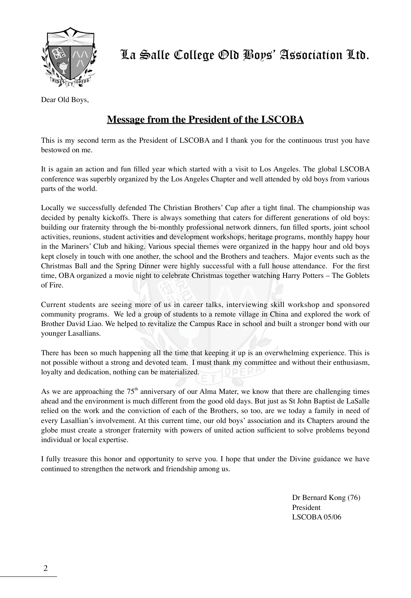

Dear Old Boys,

## **Message from the President of the LSCOBA**

This is my second term as the President of LSCOBA and I thank you for the continuous trust you have bestowed on me.

It is again an action and fun filled year which started with a visit to Los Angeles. The global LSCOBA conference was superbly organized by the Los Angeles Chapter and well attended by old boys from various parts of the world.

Locally we successfully defended The Christian Brothers' Cup after a tight final. The championship was decided by penalty kickoffs. There is always something that caters for different generations of old boys: building our fraternity through the bi-monthly professional network dinners, fun filled sports, joint school activities, reunions, student activities and development workshops, heritage programs, monthly happy hour in the Mariners' Club and hiking. Various special themes were organized in the happy hour and old boys kept closely in touch with one another, the school and the Brothers and teachers. Major events such as the Christmas Ball and the Spring Dinner were highly successful with a full house attendance. For the first time, OBA organized a movie night to celebrate Christmas together watching Harry Potters – The Goblets of Fire.

Current students are seeing more of us in career talks, interviewing skill workshop and sponsored community programs. We led a group of students to a remote village in China and explored the work of Brother David Liao. We helped to revitalize the Campus Race in school and built a stronger bond with our younger Lasallians.

There has been so much happening all the time that keeping it up is an overwhelming experience. This is not possible without a strong and devoted team. I must thank my committee and without their enthusiasm, loyalty and dedication, nothing can be materialized.

As we are approaching the  $75<sup>th</sup>$  anniversary of our Alma Mater, we know that there are challenging times ahead and the environment is much different from the good old days. But just as St John Baptist de LaSalle relied on the work and the conviction of each of the Brothers, so too, are we today a family in need of every Lasallian's involvement. At this current time, our old boys' association and its Chapters around the globe must create a stronger fraternity with powers of united action sufficient to solve problems beyond individual or local expertise.

I fully treasure this honor and opportunity to serve you. I hope that under the Divine guidance we have continued to strengthen the network and friendship among us.

> Dr Bernard Kong (76) President LSCOBA 05/06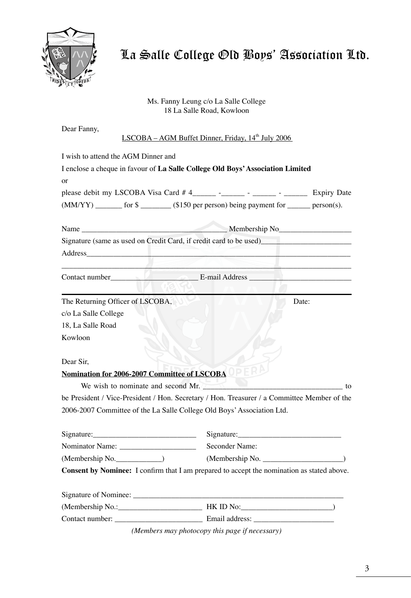

Ms. Fanny Leung c/o La Salle College 18 La Salle Road, Kowloon

| Dear Fanny,                                                                                 | LSCOBA – AGM Buffet Dinner, Friday, 14 <sup>th</sup> July 2006 |  |
|---------------------------------------------------------------------------------------------|----------------------------------------------------------------|--|
|                                                                                             |                                                                |  |
| I wish to attend the AGM Dinner and                                                         |                                                                |  |
| I enclose a cheque in favour of La Salle College Old Boys' Association Limited              |                                                                |  |
| <sub>or</sub>                                                                               |                                                                |  |
|                                                                                             |                                                                |  |
| (MM/YY) _______ for \$ _______ (\$150 per person) being payment for ______ person(s).       |                                                                |  |
|                                                                                             |                                                                |  |
|                                                                                             |                                                                |  |
|                                                                                             |                                                                |  |
|                                                                                             |                                                                |  |
|                                                                                             |                                                                |  |
|                                                                                             |                                                                |  |
| The Returning Officer of LSCOBA,                                                            | Date:                                                          |  |
| c/o La Salle College                                                                        |                                                                |  |
| 18, La Salle Road                                                                           |                                                                |  |
| Kowloon                                                                                     |                                                                |  |
|                                                                                             |                                                                |  |
| Dear Sir,                                                                                   |                                                                |  |
| Nomination for 2006-2007 Committee of LSCOBA OPER                                           |                                                                |  |
| We wish to nominate and second Mr.                                                          |                                                                |  |
| be President / Vice-President / Hon. Secretary / Hon. Treasurer / a Committee Member of the |                                                                |  |
| 2006-2007 Committee of the La Salle College Old Boys' Association Ltd.                      |                                                                |  |
| $Sigma:$ Signature:                                                                         |                                                                |  |
|                                                                                             | Seconder Name:                                                 |  |
| (Membership No.                                                                             | (Membership No.                                                |  |
| Consent by Nominee: I confirm that I am prepared to accept the nomination as stated above.  |                                                                |  |
|                                                                                             |                                                                |  |
|                                                                                             |                                                                |  |
|                                                                                             |                                                                |  |
|                                                                                             |                                                                |  |

*(Members may photocopy this page if necessary)*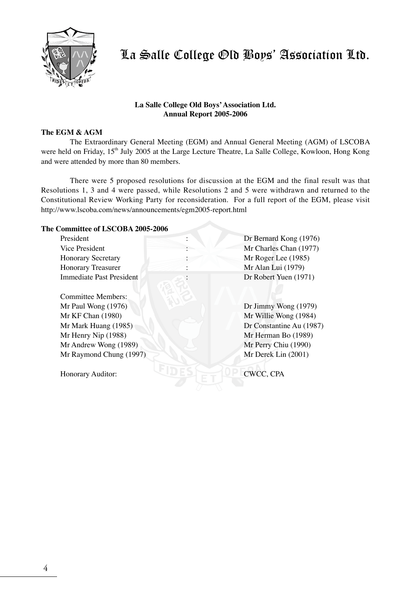

## **La Salle College Old Boys' Association Ltd. Annual Report 2005-2006**

## **The EGM & AGM**

The Extraordinary General Meeting (EGM) and Annual General Meeting (AGM) of LSCOBA were held on Friday, 15<sup>th</sup> July 2005 at the Large Lecture Theatre, La Salle College, Kowloon, Hong Kong and were attended by more than 80 members.

There were 5 proposed resolutions for discussion at the EGM and the final result was that Resolutions 1, 3 and 4 were passed, while Resolutions 2 and 5 were withdrawn and returned to the Constitutional Review Working Party for reconsideration. For a full report of the EGM, please visit http://www.lscoba.com/news/announcements/egm2005-report.html

#### **The Committee of LSCOBA 2005-2006**

| President                 | Dr Bernard Kong (1976)   |
|---------------------------|--------------------------|
| Vice President            | Mr Charles Chan (1977)   |
| <b>Honorary Secretary</b> | Mr Roger Lee (1985)      |
| <b>Honorary Treasurer</b> | Mr Alan Lui (1979)       |
| Immediate Past President  | Dr Robert Yuen (1971)    |
|                           |                          |
| Committee Members:        |                          |
| Mr Paul Wong (1976)       | Dr Jimmy Wong $(1979)$   |
| Mr KF Chan (1980)         | Mr Willie Wong (1984)    |
| Mr Mark Huang (1985)      | Dr Constantine Au (1987) |
| Mr Henry Nip (1988)       | Mr Herman Bo (1989)      |
| Mr Andrew Wong (1989)     | Mr Perry Chiu (1990)     |
| Mr Raymond Chung (1997)   | Mr Derek Lin (2001)      |
|                           |                          |
| Honorary Auditor:         | CWCC, CPA                |
|                           |                          |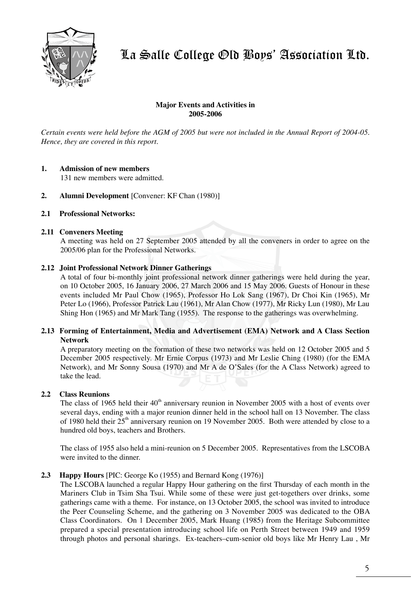

## **Major Events and Activities in 2005-2006**

*Certain events were held before the AGM of 2005 but were not included in the Annual Report of 2004-05. Hence, they are covered in this report.*

## **1. Admission of new members**

131 new members were admitted.

- **2. Alumni Development** [Convener: KF Chan (1980)]
- **2.1 Professional Networks:**

## **2.11 Conveners Meeting**

A meeting was held on 27 September 2005 attended by all the conveners in order to agree on the 2005/06 plan for the Professional Networks.

#### **2.12 Joint Professional Network Dinner Gatherings**

A total of four bi-monthly joint professional network dinner gatherings were held during the year, on 10 October 2005, 16 January 2006, 27 March 2006 and 15 May 2006. Guests of Honour in these events included Mr Paul Chow (1965), Professor Ho Lok Sang (1967), Dr Choi Kin (1965), Mr Peter Lo (1966), Professor Patrick Lau (1961), Mr Alan Chow (1977), Mr Ricky Lun (1980), Mr Lau Shing Hon (1965) and Mr Mark Tang (1955). The response to the gatherings was overwhelming.

## **2.13 Forming of Entertainment, Media and Advertisement (EMA) Network and A Class Section Network**

A preparatory meeting on the formation of these two networks was held on 12 October 2005 and 5 December 2005 respectively. Mr Ernie Corpus (1973) and Mr Leslie Ching (1980) (for the EMA Network), and Mr Sonny Sousa (1970) and Mr A de O'Sales (for the A Class Network) agreed to take the lead.

## **2.2 Class Reunions**

The class of 1965 held their  $40<sup>th</sup>$  anniversary reunion in November 2005 with a host of events over several days, ending with a major reunion dinner held in the school hall on 13 November. The class of 1980 held their 25th anniversary reunion on 19 November 2005. Both were attended by close to a hundred old boys, teachers and Brothers.

The class of 1955 also held a mini-reunion on 5 December 2005. Representatives from the LSCOBA were invited to the dinner.

## **2.3 Happy Hours** [PIC: George Ko (1955) and Bernard Kong (1976)]

The LSCOBA launched a regular Happy Hour gathering on the first Thursday of each month in the Mariners Club in Tsim Sha Tsui. While some of these were just get-togethers over drinks, some gatherings came with a theme. For instance, on 13 October 2005, the school was invited to introduce the Peer Counseling Scheme, and the gathering on 3 November 2005 was dedicated to the OBA Class Coordinators. On 1 December 2005, Mark Huang (1985) from the Heritage Subcommittee prepared a special presentation introducing school life on Perth Street between 1949 and 1959 through photos and personal sharings. Ex-teachers–cum-senior old boys like Mr Henry Lau , Mr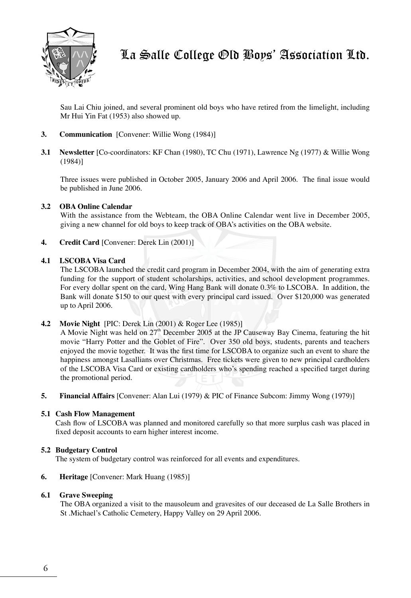

Sau Lai Chiu joined, and several prominent old boys who have retired from the limelight, including Mr Hui Yin Fat (1953) also showed up.

- **3. Communication** [Convener: Willie Wong (1984)]
- **3.1 Newsletter** [Co-coordinators: KF Chan (1980), TC Chu (1971), Lawrence Ng (1977) & Willie Wong (1984)]

Three issues were published in October 2005, January 2006 and April 2006. The final issue would be published in June 2006.

## **3.2 OBA Online Calendar**

With the assistance from the Webteam, the OBA Online Calendar went live in December 2005, giving a new channel for old boys to keep track of OBA's activities on the OBA website.

**4. Credit Card** [Convener: Derek Lin (2001)]

## **4.1 LSCOBA Visa Card**

The LSCOBA launched the credit card program in December 2004, with the aim of generating extra funding for the support of student scholarships, activities, and school development programmes. For every dollar spent on the card, Wing Hang Bank will donate 0.3% to LSCOBA. In addition, the Bank will donate \$150 to our quest with every principal card issued. Over \$120,000 was generated up to April 2006.

## **4.2 Movie Night** [PIC: Derek Lin (2001) & Roger Lee (1985)]

A Movie Night was held on  $27<sup>th</sup>$  December 2005 at the JP Causeway Bay Cinema, featuring the hit movie "Harry Potter and the Goblet of Fire". Over 350 old boys, students, parents and teachers enjoyed the movie together. It was the first time for LSCOBA to organize such an event to share the happiness amongst Lasallians over Christmas. Free tickets were given to new principal cardholders of the LSCOBA Visa Card or existing cardholders who's spending reached a specified target during the promotional period.

**5. Financial Affairs** [Convener: Alan Lui (1979) & PIC of Finance Subcom: Jimmy Wong (1979)]

## **5.1 Cash Flow Management**

Cash flow of LSCOBA was planned and monitored carefully so that more surplus cash was placed in fixed deposit accounts to earn higher interest income.

## **5.2 Budgetary Control**

The system of budgetary control was reinforced for all events and expenditures.

## **6. Heritage** [Convener: Mark Huang (1985)]

## **6.1 Grave Sweeping**

The OBA organized a visit to the mausoleum and gravesites of our deceased de La Salle Brothers in St .Michael's Catholic Cemetery, Happy Valley on 29 April 2006.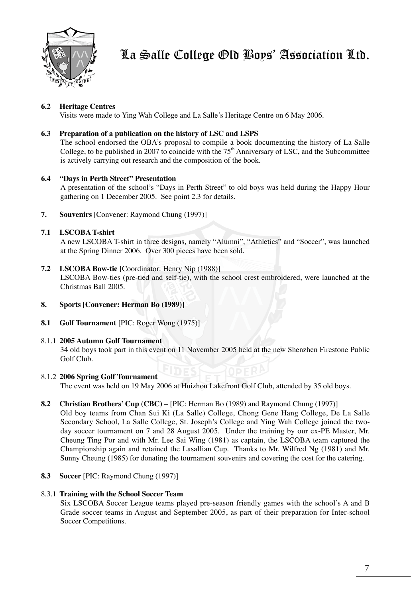

## **6.2 Heritage Centres**

Visits were made to Ying Wah College and La Salle's Heritage Centre on 6 May 2006.

## **6.3 Preparation of a publication on the history of LSC and LSPS**

The school endorsed the OBA's proposal to compile a book documenting the history of La Salle College, to be published in 2007 to coincide with the  $75<sup>th</sup>$  Anniversary of LSC, and the Subcommittee is actively carrying out research and the composition of the book.

## **6.4 "Days in Perth Street" Presentation**

A presentation of the school's "Days in Perth Street" to old boys was held during the Happy Hour gathering on 1 December 2005. See point 2.3 for details.

**7. Souvenirs** [Convener: Raymond Chung (1997)]

## **7.1 LSCOBA T-shirt**

A new LSCOBA T-shirt in three designs, namely "Alumni", "Athletics" and "Soccer", was launched at the Spring Dinner 2006. Over 300 pieces have been sold.

**7.2 LSCOBA Bow-tie** [Coordinator: Henry Nip (1988)]

LSCOBA Bow-ties (pre-tied and self-tie), with the school crest embroidered, were launched at the Christmas Ball 2005.

- **8. Sports [Convener: Herman Bo (1989)]**
- **8.1 Golf Tournament** [PIC: Roger Wong (1975)]

## 8.1.1 **2005 Autumn Golf Tournament**

34 old boys took part in this event on 11 November 2005 held at the new Shenzhen Firestone Public Golf Club.

## 8.1.2 **2006 Spring Golf Tournament**

The event was held on 19 May 2006 at Huizhou Lakefront Golf Club, attended by 35 old boys.

**8.2 Christian Brothers' Cup (CBC)** – [PIC: Herman Bo (1989) and Raymond Chung (1997)]

Old boy teams from Chan Sui Ki (La Salle) College, Chong Gene Hang College, De La Salle Secondary School, La Salle College, St. Joseph's College and Ying Wah College joined the twoday soccer tournament on 7 and 28 August 2005. Under the training by our ex-PE Master, Mr. Cheung Ting Por and with Mr. Lee Sai Wing (1981) as captain, the LSCOBA team captured the Championship again and retained the Lasallian Cup. Thanks to Mr. Wilfred Ng (1981) and Mr. Sunny Cheung (1985) for donating the tournament souvenirs and covering the cost for the catering.

**8.3 Soccer** [PIC: Raymond Chung (1997)]

## 8.3.1 **Training with the School Soccer Team**

Six LSCOBA Soccer League teams played pre-season friendly games with the school's A and B Grade soccer teams in August and September 2005, as part of their preparation for Inter-school Soccer Competitions.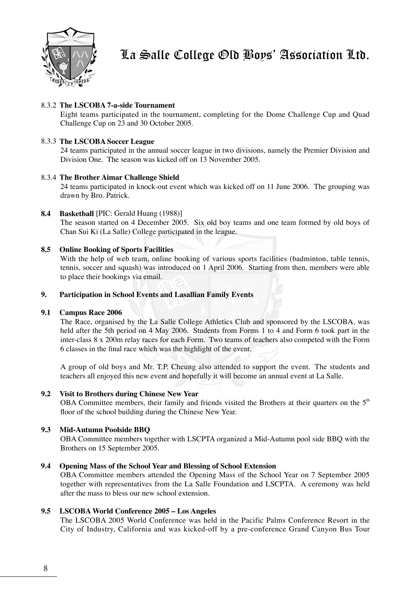

## 8.3.2 **The LSCOBA 7-a-side Tournament**

Eight teams participated in the tournament, completing for the Dome Challenge Cup and Quad Challenge Cup on 23 and 30 October 2005.

## 8.3.3 **The LSCOBA Soccer League**

24 teams participated in the annual soccer league in two divisions, namely the Premier Division and Division One. The season was kicked off on 13 November 2005.

## 8.3.4 **The Brother Aimar Challenge Shield**

24 teams participated in knock-out event which was kicked off on 11 June 2006. The grouping was drawn by Bro. Patrick.

## **8.4 Basketball** [PIC: Gerald Huang (1988)]

The season started on 4 December 2005. Six old boy teams and one team formed by old boys of Chan Sui Ki (La Salle) College participated in the league.

## **8.5 Online Booking of Sports Facilities**

With the help of web team, online booking of various sports facilities (badminton, table tennis, tennis, soccer and squash) was introduced on 1 April 2006. Starting from then, members were able to place their bookings via email.

#### **9. Participation in School Events and Lasallian Family Events**

## **9.1 Campus Race 2006**

The Race, organised by the La Salle College Athletics Club and sponsored by the LSCOBA, was held after the 5th period on 4 May 2006. Students from Forms 1 to 4 and Form 6 took part in the inter-class 8 x 200m relay races for each Form. Two teams of teachers also competed with the Form 6 classes in the final race which was the highlight of the event.

A group of old boys and Mr. T.P. Cheung also attended to support the event. The students and teachers all enjoyed this new event and hopefully it will become an annual event at La Salle.

## **9.2 Visit to Brothers during Chinese New Year**

OBA Committee members, their family and friends visited the Brothers at their quarters on the  $5<sup>th</sup>$ floor of the school building during the Chinese New Year.

## **9.3 Mid-Autumn Poolside BBQ**

OBA Committee members together with LSCPTA organized a Mid-Autumn pool side BBQ with the Brothers on 15 September 2005.

## **9.4 Opening Mass of the School Year and Blessing of School Extension**

OBA Committee members attended the Opening Mass of the School Year on 7 September 2005 together with representatives from the La Salle Foundation and LSCPTA. A ceremony was held after the mass to bless our new school extension.

## **9.5 LSCOBA World Conference 2005 – Los Angeles**

The LSCOBA 2005 World Conference was held in the Pacific Palms Conference Resort in the City of Industry, California and was kicked-off by a pre-conference Grand Canyon Bus Tour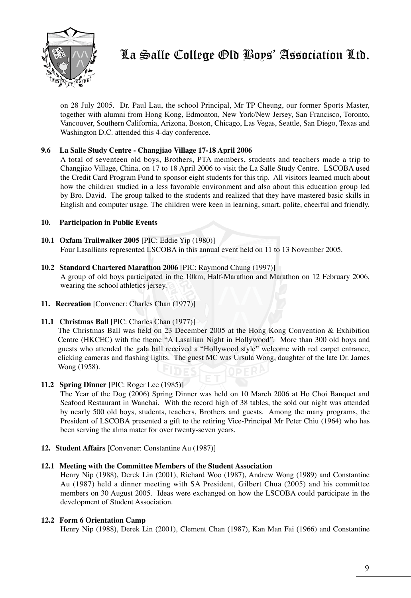

on 28 July 2005. Dr. Paul Lau, the school Principal, Mr TP Cheung, our former Sports Master, together with alumni from Hong Kong, Edmonton, New York/New Jersey, San Francisco, Toronto, Vancouver, Southern California, Arizona, Boston, Chicago, Las Vegas, Seattle, San Diego, Texas and Washington D.C. attended this 4-day conference.

## **9.6 La Salle Study Centre - Changjiao Village 17-18 April 2006**

A total of seventeen old boys, Brothers, PTA members, students and teachers made a trip to Changjiao Village, China, on 17 to 18 April 2006 to visit the La Salle Study Centre. LSCOBA used the Credit Card Program Fund to sponsor eight students for this trip. All visitors learned much about how the children studied in a less favorable environment and also about this education group led by Bro. David. The group talked to the students and realized that they have mastered basic skills in English and computer usage. The children were keen in learning, smart, polite, cheerful and friendly.

## **10. Participation in Public Events**

## **10.1 Oxfam Trailwalker 2005** [PIC: Eddie Yip (1980)] Four Lasallians represented LSCOBA in this annual event held on 11 to 13 November 2005.

**10.2 Standard Chartered Marathon 2006** [PIC: Raymond Chung (1997)]

A group of old boys participated in the 10km, Half-Marathon and Marathon on 12 February 2006, wearing the school athletics jersey.

- **11. Recreation** [Convener: Charles Chan (1977)]
- **11.1 Christmas Ball** [PIC: Charles Chan (1977)]

The Christmas Ball was held on 23 December 2005 at the Hong Kong Convention & Exhibition Centre (HKCEC) with the theme "A Lasallian Night in Hollywood". More than 300 old boys and guests who attended the gala ball received a "Hollywood style" welcome with red carpet entrance, clicking cameras and flashing lights. The guest MC was Ursula Wong, daughter of the late Dr. James Wong (1958).

## **11.2 Spring Dinner** [PIC: Roger Lee (1985)]

The Year of the Dog (2006) Spring Dinner was held on 10 March 2006 at Ho Choi Banquet and Seafood Restaurant in Wanchai. With the record high of 38 tables, the sold out night was attended by nearly 500 old boys, students, teachers, Brothers and guests. Among the many programs, the President of LSCOBA presented a gift to the retiring Vice-Principal Mr Peter Chiu (1964) who has been serving the alma mater for over twenty-seven years.

**12. Student Affairs** [Convener: Constantine Au (1987)]

## **12.1 Meeting with the Committee Members of the Student Association**

Henry Nip (1988), Derek Lin (2001), Richard Woo (1987), Andrew Wong (1989) and Constantine Au (1987) held a dinner meeting with SA President, Gilbert Chua (2005) and his committee members on 30 August 2005. Ideas were exchanged on how the LSCOBA could participate in the development of Student Association.

## **12.2 Form 6 Orientation Camp**

Henry Nip (1988), Derek Lin (2001), Clement Chan (1987), Kan Man Fai (1966) and Constantine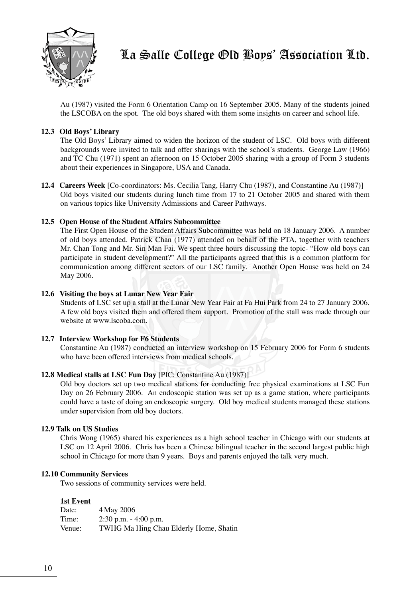

Au (1987) visited the Form 6 Orientation Camp on 16 September 2005. Many of the students joined the LSCOBA on the spot. The old boys shared with them some insights on career and school life.

## **12.3 Old Boys' Library**

The Old Boys' Library aimed to widen the horizon of the student of LSC. Old boys with different backgrounds were invited to talk and offer sharings with the school's students. George Law (1966) and TC Chu (1971) spent an afternoon on 15 October 2005 sharing with a group of Form 3 students about their experiences in Singapore, USA and Canada.

**12.4 Careers Week** [Co-coordinators: Ms. Cecilia Tang, Harry Chu (1987), and Constantine Au (1987)] Old boys visited our students during lunch time from 17 to 21 October 2005 and shared with them on various topics like University Admissions and Career Pathways.

## **12.5 Open House of the Student Affairs Subcommittee**

The First Open House of the Student Affairs Subcommittee was held on 18 January 2006. A number of old boys attended. Patrick Chan (1977) attended on behalf of the PTA, together with teachers Mr. Chan Tong and Mr. Sin Man Fai. We spent three hours discussing the topic- "How old boys can participate in student development?" All the participants agreed that this is a common platform for communication among different sectors of our LSC family. Another Open House was held on 24 May 2006.

## **12.6 Visiting the boys at Lunar New Year Fair**

Students of LSC set up a stall at the Lunar New Year Fair at Fa Hui Park from 24 to 27 January 2006. A few old boys visited them and offered them support. Promotion of the stall was made through our website at www.lscoba.com.

## **12.7 Interview Workshop for F6 Students**

Constantine Au (1987) conducted an interview workshop on 15 February 2006 for Form 6 students who have been offered interviews from medical schools.

## **12.8 Medical stalls at LSC Fun Day** [PIC: Constantine Au (1987)]

Old boy doctors set up two medical stations for conducting free physical examinations at LSC Fun Day on 26 February 2006. An endoscopic station was set up as a game station, where participants could have a taste of doing an endoscopic surgery. Old boy medical students managed these stations under supervision from old boy doctors.

## **12.9 Talk on US Studies**

Chris Wong (1965) shared his experiences as a high school teacher in Chicago with our students at LSC on 12 April 2006. Chris has been a Chinese bilingual teacher in the second largest public high school in Chicago for more than 9 years. Boys and parents enjoyed the talk very much.

## **12.10 Community Services**

Two sessions of community services were held.

## **1st Event**

| Date:  | 4 May 2006                             |
|--------|----------------------------------------|
| Time:  | $2:30$ p.m. $-4:00$ p.m.               |
| Venue: | TWHG Ma Hing Chau Elderly Home, Shatin |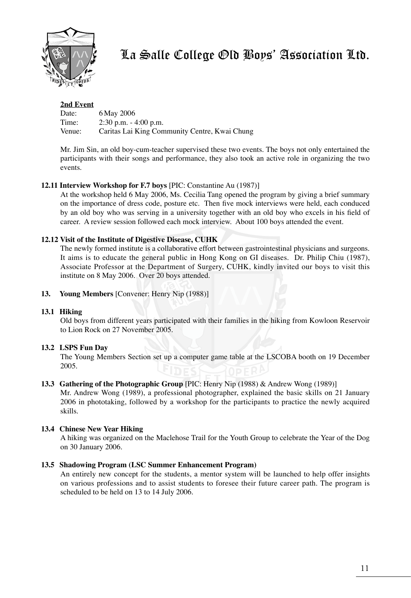

## **2nd Event**

| Date:  | 6 May 2006                                    |
|--------|-----------------------------------------------|
| Time:  | $2:30$ p.m. $-4:00$ p.m.                      |
| Venue: | Caritas Lai King Community Centre, Kwai Chung |

Mr. Jim Sin, an old boy-cum-teacher supervised these two events. The boys not only entertained the participants with their songs and performance, they also took an active role in organizing the two events.

## **12.11 Interview Workshop for F.7 boys** [PIC: Constantine Au (1987)]

At the workshop held 6 May 2006, Ms. Cecilia Tang opened the program by giving a brief summary on the importance of dress code, posture etc. Then five mock interviews were held, each conduced by an old boy who was serving in a university together with an old boy who excels in his field of career. A review session followed each mock interview. About 100 boys attended the event.

## **12.12 Visit of the Institute of Digestive Disease, CUHK**

The newly formed institute is a collaborative effort between gastrointestinal physicians and surgeons. It aims is to educate the general public in Hong Kong on GI diseases. Dr. Philip Chiu (1987), Associate Professor at the Department of Surgery, CUHK, kindly invited our boys to visit this institute on 8 May 2006. Over 20 boys attended.

**13. Young Members** [Convener: Henry Nip (1988)]

## **13.1 Hiking**

Old boys from different years participated with their families in the hiking from Kowloon Reservoir to Lion Rock on 27 November 2005.

## **13.2 LSPS Fun Day**

The Young Members Section set up a computer game table at the LSCOBA booth on 19 December 2005.

## **13.3 Gathering of the Photographic Group** [PIC: Henry Nip (1988) & Andrew Wong (1989)]

Mr. Andrew Wong (1989), a professional photographer, explained the basic skills on 21 January 2006 in phototaking, followed by a workshop for the participants to practice the newly acquired skills.

## **13.4 Chinese New Year Hiking**

A hiking was organized on the Maclehose Trail for the Youth Group to celebrate the Year of the Dog on 30 January 2006.

## **13.5 Shadowing Program (LSC Summer Enhancement Program)**

An entirely new concept for the students, a mentor system will be launched to help offer insights on various professions and to assist students to foresee their future career path. The program is scheduled to be held on 13 to 14 July 2006.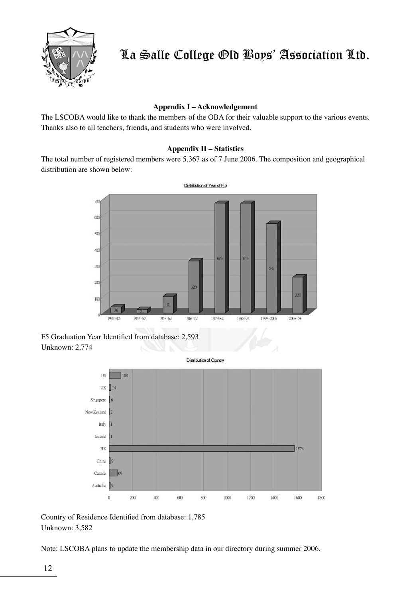

## **Appendix I – Acknowledgement**

The LSCOBA would like to thank the members of the OBA for their valuable support to the various events. Thanks also to all teachers, friends, and students who were involved.

## **Appendix II – Statistics**

The total number of registered members were 5,367 as of 7 June 2006. The composition and geographical distribution are shown below:



F5 Graduation Year Identified from database: 2,593 Unknown: 2,774



Country of Residence Identified from database: 1,785 Unknown: 3,582

Note: LSCOBA plans to update the membership data in our directory during summer 2006.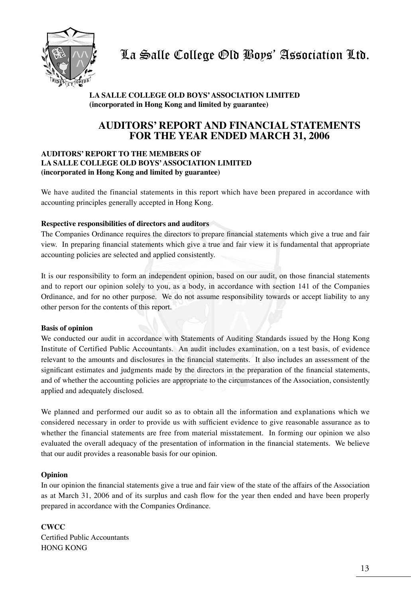

## **LA SALLE COLLEGE OLD BOYS' ASSOCIATION LIMITED (incorporated in Hong Kong and limited by guarantee)**

## **AUDITORS' REPORT AND FINANCIAL STATEMENTS FOR THE YEAR ENDED MARCH 31, 2006**

## **AUDITORS' REPORT TO THE MEMBERS OF LA SALLE COLLEGE OLD BOYS' ASSOCIATION LIMITED (incorporated in Hong Kong and limited by guarantee)**

We have audited the financial statements in this report which have been prepared in accordance with accounting principles generally accepted in Hong Kong.

## **Respective responsibilities of directors and auditors**

The Companies Ordinance requires the directors to prepare financial statements which give a true and fair view. In preparing financial statements which give a true and fair view it is fundamental that appropriate accounting policies are selected and applied consistently.

It is our responsibility to form an independent opinion, based on our audit, on those financial statements and to report our opinion solely to you, as a body, in accordance with section 141 of the Companies Ordinance, and for no other purpose. We do not assume responsibility towards or accept liability to any other person for the contents of this report.

## **Basis of opinion**

We conducted our audit in accordance with Statements of Auditing Standards issued by the Hong Kong Institute of Certified Public Accountants. An audit includes examination, on a test basis, of evidence relevant to the amounts and disclosures in the financial statements. It also includes an assessment of the significant estimates and judgments made by the directors in the preparation of the financial statements, and of whether the accounting policies are appropriate to the circumstances of the Association, consistently applied and adequately disclosed.

We planned and performed our audit so as to obtain all the information and explanations which we considered necessary in order to provide us with sufficient evidence to give reasonable assurance as to whether the financial statements are free from material misstatement. In forming our opinion we also evaluated the overall adequacy of the presentation of information in the financial statements. We believe that our audit provides a reasonable basis for our opinion.

## **Opinion**

In our opinion the financial statements give a true and fair view of the state of the affairs of the Association as at March 31, 2006 and of its surplus and cash flow for the year then ended and have been properly prepared in accordance with the Companies Ordinance.

**CWCC** Certified Public Accountants HONG KONG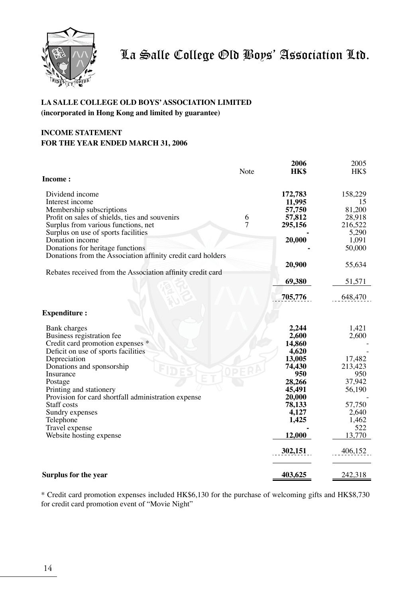

## **LA SALLE COLLEGE OLD BOYS' ASSOCIATION LIMITED (incorporated in Hong Kong and limited by guarantee)**

## **INCOME STATEMENT FOR THE YEAR ENDED MARCH 31, 2006**

|                                                             |      | 2006        | 2005    |
|-------------------------------------------------------------|------|-------------|---------|
| Income:                                                     | Note | <b>HK\$</b> | HK\$    |
|                                                             |      |             |         |
| Dividend income                                             |      | 172,783     | 158,229 |
| Interest income                                             |      | 11,995      | 15      |
| Membership subscriptions                                    |      | 57,750      | 81,200  |
| Profit on sales of shields, ties and souvenirs              | 6    | 57,812      | 28,918  |
| Surplus from various functions, net                         | 7    | 295,156     | 216,522 |
| Surplus on use of sports facilities                         |      |             | 5,290   |
| Donation income                                             |      | 20,000      | 1,091   |
| Donations for heritage functions                            |      |             | 50,000  |
| Donations from the Association affinity credit card holders |      |             |         |
|                                                             |      | 20,900      | 55,634  |
| Rebates received from the Association affinity credit card  |      |             |         |
|                                                             |      | 69,380      | 51,571  |
|                                                             |      |             |         |
|                                                             |      | 705,776     | 648,470 |
|                                                             |      |             |         |
| <b>Expenditure:</b>                                         |      |             |         |
| Bank charges                                                |      | 2,244       | 1,421   |
| Business registration fee                                   |      | 2,600       | 2,600   |
| Credit card promotion expenses *                            |      | 14,860      |         |
| Deficit on use of sports facilities                         |      | 4,620       |         |
| Depreciation                                                |      | 13,005      | 17,482  |
| Donations and sponsorship                                   |      | 74,430      | 213,423 |
| Insurance                                                   |      | 950         | 950     |
| Postage                                                     |      | 28,266      | 37,942  |
| Printing and stationery                                     |      | 45,491      | 56,190  |
| Provision for card shortfall administration expense         |      | 20,000      |         |
| Staff costs                                                 |      | 78,133      | 57,750  |
| Sundry expenses                                             |      | 4,127       | 2,640   |
| Telephone                                                   |      | 1,425       | 1,462   |
| Travel expense                                              |      |             | 522     |
| Website hosting expense                                     |      | 12,000      | 13,770  |
|                                                             |      | 302,151     | 406,152 |
|                                                             |      |             |         |
| Surplus for the year                                        |      | 403,625     | 242,318 |
|                                                             |      |             |         |

\* Credit card promotion expenses included HK\$6,130 for the purchase of welcoming gifts and HK\$8,730 for credit card promotion event of "Movie Night"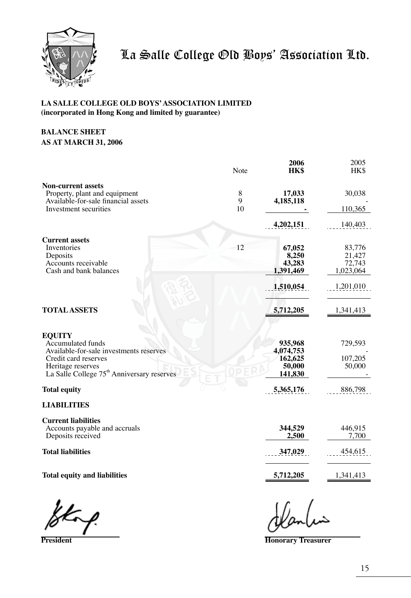

## **LA SALLE COLLEGE OLD BOYS' ASSOCIATION LIMITED (incorporated in Hong Kong and limited by guarantee)**

## **BALANCE SHEET AS AT MARCH 31, 2006**

|                                                                             | Note   | 2006<br>HK\$        | 2005<br>HK\$     |
|-----------------------------------------------------------------------------|--------|---------------------|------------------|
| <b>Non-current assets</b>                                                   |        |                     |                  |
| Property, plant and equipment<br>Available-for-sale financial assets        | 8<br>9 | 17,033<br>4,185,118 | 30,038           |
| Investment securities                                                       | 10     |                     | 110,365          |
|                                                                             |        | 4,202,151           | 140,403          |
| <b>Current assets</b>                                                       |        |                     |                  |
| Inventories                                                                 | 12     | 67,052              | 83,776           |
| Deposits<br>Accounts receivable                                             |        | 8,250<br>43,283     | 21,427<br>72,743 |
| Cash and bank balances                                                      |        | 1,391,469           | 1,023,064        |
|                                                                             |        |                     |                  |
|                                                                             |        | 1,510,054           | 1,201,010        |
| <b>TOTAL ASSETS</b>                                                         |        | 5,712,205           | 1,341,413        |
| <b>EQUITY</b>                                                               |        |                     |                  |
| Accumulated funds                                                           |        | 935,968             | 729,593          |
| Available-for-sale investments reserves                                     |        | 4,074,753           |                  |
| Credit card reserves                                                        |        | 162,625             | 107,205          |
| Heritage reserves<br>La Salle College 75 <sup>th</sup> Anniversary reserves |        | 50,000              | 50,000           |
|                                                                             |        | 141,830             |                  |
| <b>Total equity</b>                                                         |        | 5,365,176           | 886,798          |
| <b>LIABILITIES</b>                                                          |        |                     |                  |
| <b>Current liabilities</b>                                                  |        |                     |                  |
| Accounts payable and accruals                                               |        | 344,529             | 446,915          |
| Deposits received                                                           |        | 2,500               | 7,700            |
| <b>Total liabilities</b>                                                    |        | 347,029             | 454,615          |
|                                                                             |        |                     |                  |
| <b>Total equity and liabilities</b>                                         |        | 5,712,205           | 1,341,413        |
|                                                                             |        |                     |                  |

 **President Honorary Treasurer**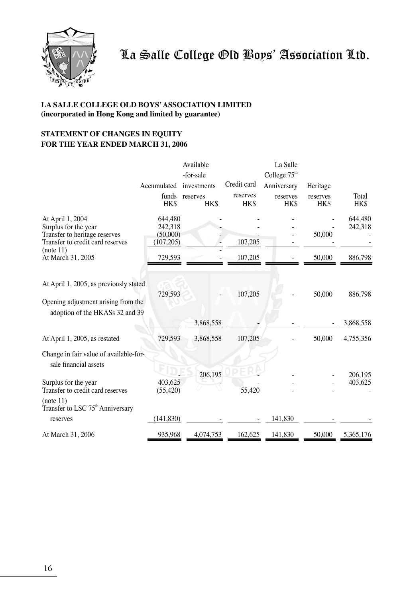

## **LA SALLE COLLEGE OLD BOYS' ASSOCIATION LIMITED (incorporated in Hong Kong and limited by guarantee)**

## **STATEMENT OF CHANGES IN EQUITY FOR THE YEAR ENDED MARCH 31, 2006**

|                                                                                                                  |                                              | Available        |                  | La Salle         |                  |                    |
|------------------------------------------------------------------------------------------------------------------|----------------------------------------------|------------------|------------------|------------------|------------------|--------------------|
|                                                                                                                  |                                              | -for-sale        |                  | College $75th$   |                  |                    |
|                                                                                                                  | Accumulated                                  | investments      | Credit card      | Anniversary      | Heritage         |                    |
|                                                                                                                  | funds<br>HK\$                                | reserves<br>HK\$ | reserves<br>HK\$ | reserves<br>HK\$ | reserves<br>HK\$ | Total<br>HK\$      |
| At April 1, 2004<br>Surplus for the year<br>Transfer to heritage reserves<br>Transfer to credit card reserves    | 644,480<br>242,318<br>(50,000)<br>(107, 205) |                  | 107,205          |                  | 50,000           | 644,480<br>242,318 |
| (note 11)<br>At March 31, 2005                                                                                   | 729,593                                      |                  | 107,205          |                  | 50,000           | 886,798            |
| At April 1, 2005, as previously stated<br>Opening adjustment arising from the<br>adoption of the HKASs 32 and 39 | 729,593                                      |                  | 107,205          |                  | 50,000           | 886,798            |
|                                                                                                                  |                                              | 3,868,558        |                  |                  |                  | 3,868,558          |
| At April 1, 2005, as restated                                                                                    | 729.593                                      | 3,868,558        | 107,205          |                  | 50,000           | 4,755,356          |
| Change in fair value of available-for-<br>sale financial assets                                                  |                                              | 206,195          |                  |                  |                  | 206,195            |
| Surplus for the year<br>Transfer to credit card reserves                                                         | 403.625<br>(55, 420)                         |                  | 55,420           |                  |                  | 403,625            |
| (note 11)<br>Transfer to LSC 75 <sup>th</sup> Anniversary                                                        |                                              |                  |                  |                  |                  |                    |
| reserves                                                                                                         | (141, 830)                                   |                  |                  | 141,830          |                  |                    |
| At March 31, 2006                                                                                                | 935,968                                      | 4,074,753        | 162,625          | 141,830          | 50,000           | 5,365,176          |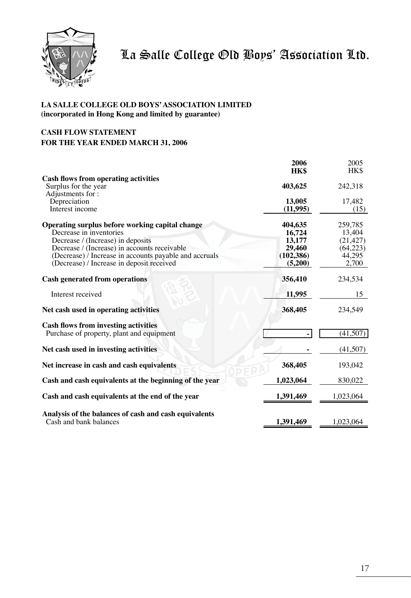

## **LA SALLE COLLEGE OLD BOYS' ASSOCIATION LIMITED (incorporated in Hong Kong and limited by guarantee)**

## **CASH FLOW STATEMENT FOR THE YEAR ENDED MARCH 31, 2006**

|                                                        | 2006       | 2005      |
|--------------------------------------------------------|------------|-----------|
|                                                        | HK\$       | HK\$      |
| <b>Cash flows from operating activities</b>            |            |           |
| Surplus for the year                                   | 403,625    | 242,318   |
| Adjustments for:                                       |            |           |
| Depreciation                                           | 13,005     | 17,482    |
| Interest income                                        | (11,995)   | (15)      |
|                                                        |            |           |
| Operating surplus before working capital change        | 404,635    | 259,785   |
| Decrease in inventories                                | 16,724     | 13.404    |
|                                                        |            |           |
| Decrease / (Increase) in deposits                      | 13,177     | (21, 427) |
| Decrease / (Increase) in accounts receivable           | 29,460     | (64, 223) |
| (Decrease) / Increase in accounts payable and accruals | (102, 386) | 44,295    |
| (Decrease) / Increase in deposit received              | (5,200)    | 2,700     |
| <b>Cash generated from operations</b>                  | 356,410    | 234,534   |
|                                                        |            |           |
| Interest received                                      | 11,995     | 15        |
| Net cash used in operating activities                  | 368,405    | 234.549   |
| <b>Cash flows from investing activities</b>            |            |           |
| Purchase of property, plant and equipment              |            | (41,507)  |
|                                                        |            |           |
| Net cash used in investing activities                  |            | (41,507)  |
| Net increase in cash and cash equivalents              | 368,405    | 193,042   |
|                                                        |            |           |
| Cash and cash equivalents at the beginning of the year | 1,023,064  | 830,022   |
| Cash and cash equivalents at the end of the year       | 1,391,469  | 1,023,064 |
|                                                        |            |           |
| Analysis of the balances of cash and cash equivalents  |            |           |
| Cash and bank balances                                 | 1,391,469  | 1,023,064 |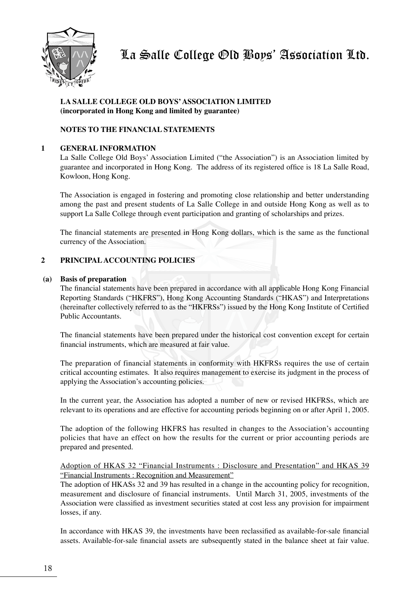

## **LA SALLE COLLEGE OLD BOYS' ASSOCIATION LIMITED (incorporated in Hong Kong and limited by guarantee)**

## **NOTES TO THE FINANCIAL STATEMENTS**

## **1 GENERAL INFORMATION**

La Salle College Old Boys' Association Limited ("the Association") is an Association limited by guarantee and incorporated in Hong Kong. The address of its registered office is 18 La Salle Road, Kowloon, Hong Kong.

The Association is engaged in fostering and promoting close relationship and better understanding among the past and present students of La Salle College in and outside Hong Kong as well as to support La Salle College through event participation and granting of scholarships and prizes.

The financial statements are presented in Hong Kong dollars, which is the same as the functional currency of the Association.

## **2 PRINCIPAL ACCOUNTING POLICIES**

#### **(a) Basis of preparation**

 The financial statements have been prepared in accordance with all applicable Hong Kong Financial Reporting Standards ("HKFRS"), Hong Kong Accounting Standards ("HKAS") and Interpretations (hereinafter collectively referred to as the "HKFRSs") issued by the Hong Kong Institute of Certified Public Accountants.

The financial statements have been prepared under the historical cost convention except for certain financial instruments, which are measured at fair value.

The preparation of financial statements in conformity with HKFRSs requires the use of certain critical accounting estimates. It also requires management to exercise its judgment in the process of applying the Association's accounting policies.

In the current year, the Association has adopted a number of new or revised HKFRSs, which are relevant to its operations and are effective for accounting periods beginning on or after April 1, 2005.

The adoption of the following HKFRS has resulted in changes to the Association's accounting policies that have an effect on how the results for the current or prior accounting periods are prepared and presented.

## Adoption of HKAS 32 "Financial Instruments : Disclosure and Presentation" and HKAS 39 "Financial Instruments : Recognition and Measurement"

The adoption of HKASs 32 and 39 has resulted in a change in the accounting policy for recognition, measurement and disclosure of financial instruments. Until March 31, 2005, investments of the Association were classified as investment securities stated at cost less any provision for impairment losses, if any.

In accordance with HKAS 39, the investments have been reclassified as available-for-sale financial assets. Available-for-sale financial assets are subsequently stated in the balance sheet at fair value.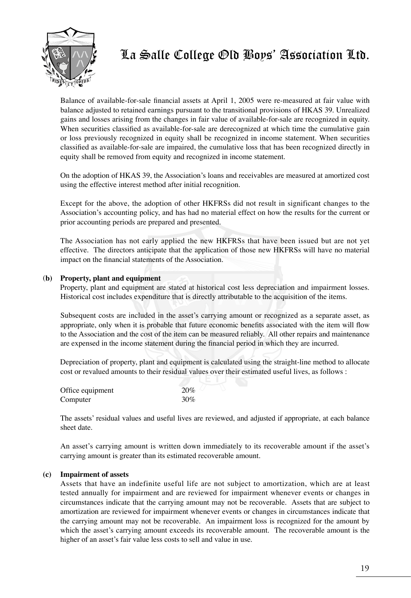

Balance of available-for-sale financial assets at April 1, 2005 were re-measured at fair value with balance adjusted to retained earnings pursuant to the transitional provisions of HKAS 39. Unrealized gains and losses arising from the changes in fair value of available-for-sale are recognized in equity. When securities classified as available-for-sale are derecognized at which time the cumulative gain or loss previously recognized in equity shall be recognized in income statement. When securities classified as available-for-sale are impaired, the cumulative loss that has been recognized directly in equity shall be removed from equity and recognized in income statement.

On the adoption of HKAS 39, the Association's loans and receivables are measured at amortized cost using the effective interest method after initial recognition.

Except for the above, the adoption of other HKFRSs did not result in significant changes to the Association's accounting policy, and has had no material effect on how the results for the current or prior accounting periods are prepared and presented.

The Association has not early applied the new HKFRSs that have been issued but are not yet effective. The directors anticipate that the application of those new HKFRSs will have no material impact on the financial statements of the Association.

## (**b) Property, plant and equipment**

Property, plant and equipment are stated at historical cost less depreciation and impairment losses. Historical cost includes expenditure that is directly attributable to the acquisition of the items.

Subsequent costs are included in the asset's carrying amount or recognized as a separate asset, as appropriate, only when it is probable that future economic benefits associated with the item will flow to the Association and the cost of the item can be measured reliably. All other repairs and maintenance are expensed in the income statement during the financial period in which they are incurred.

Depreciation of property, plant and equipment is calculated using the straight-line method to allocate cost or revalued amounts to their residual values over their estimated useful lives, as follows :

| Office equipment | 20% |
|------------------|-----|
| Computer         | 30% |

 The assets' residual values and useful lives are reviewed, and adjusted if appropriate, at each balance sheet date.

An asset's carrying amount is written down immediately to its recoverable amount if the asset's carrying amount is greater than its estimated recoverable amount.

## **(c) Impairment of assets**

Assets that have an indefinite useful life are not subject to amortization, which are at least tested annually for impairment and are reviewed for impairment whenever events or changes in circumstances indicate that the carrying amount may not be recoverable. Assets that are subject to amortization are reviewed for impairment whenever events or changes in circumstances indicate that the carrying amount may not be recoverable. An impairment loss is recognized for the amount by which the asset's carrying amount exceeds its recoverable amount. The recoverable amount is the higher of an asset's fair value less costs to sell and value in use.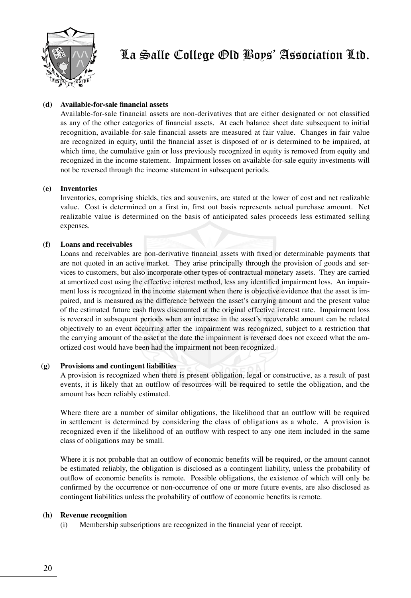

## **(d) Available-for-sale financial assets**

Available-for-sale financial assets are non-derivatives that are either designated or not classified as any of the other categories of financial assets. At each balance sheet date subsequent to initial recognition, available-for-sale financial assets are measured at fair value. Changes in fair value are recognized in equity, until the financial asset is disposed of or is determined to be impaired, at which time, the cumulative gain or loss previously recognized in equity is removed from equity and recognized in the income statement. Impairment losses on available-for-sale equity investments will not be reversed through the income statement in subsequent periods.

## **(e) Inventories**

Inventories, comprising shields, ties and souvenirs, are stated at the lower of cost and net realizable value. Cost is determined on a first in, first out basis represents actual purchase amount. Net realizable value is determined on the basis of anticipated sales proceeds less estimated selling expenses.

#### **(f) Loans and receivables**

Loans and receivables are non-derivative financial assets with fixed or determinable payments that are not quoted in an active market. They arise principally through the provision of goods and services to customers, but also incorporate other types of contractual monetary assets. They are carried at amortized cost using the effective interest method, less any identified impairment loss. An impairment loss is recognized in the income statement when there is objective evidence that the asset is impaired, and is measured as the difference between the asset's carrying amount and the present value of the estimated future cash flows discounted at the original effective interest rate. Impairment loss is reversed in subsequent periods when an increase in the asset's recoverable amount can be related objectively to an event occurring after the impairment was recognized, subject to a restriction that the carrying amount of the asset at the date the impairment is reversed does not exceed what the amortized cost would have been had the impairment not been recognized.

#### **(g) Provisions and contingent liabilities**

A provision is recognized when there is present obligation, legal or constructive, as a result of past events, it is likely that an outflow of resources will be required to settle the obligation, and the amount has been reliably estimated.

Where there are a number of similar obligations, the likelihood that an outflow will be required in settlement is determined by considering the class of obligations as a whole. A provision is recognized even if the likelihood of an outflow with respect to any one item included in the same class of obligations may be small.

Where it is not probable that an outflow of economic benefits will be required, or the amount cannot be estimated reliably, the obligation is disclosed as a contingent liability, unless the probability of outflow of economic benefits is remote. Possible obligations, the existence of which will only be confirmed by the occurrence or non-occurrence of one or more future events, are also disclosed as contingent liabilities unless the probability of outflow of economic benefits is remote.

#### **(h) Revenue recognition**

(i) Membership subscriptions are recognized in the financial year of receipt.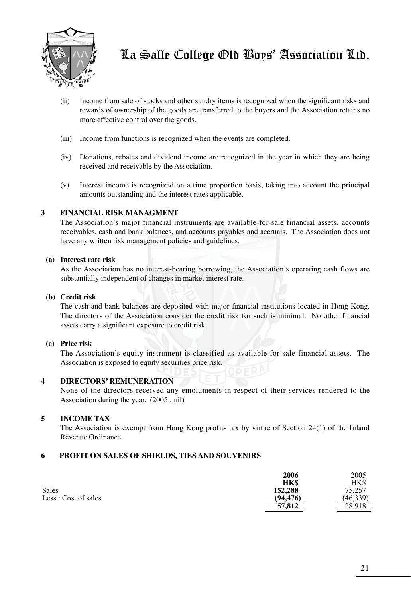

- (ii) Income from sale of stocks and other sundry items is recognized when the significant risks and rewards of ownership of the goods are transferred to the buyers and the Association retains no more effective control over the goods.
- (iii) Income from functions is recognized when the events are completed.
- (iv) Donations, rebates and dividend income are recognized in the year in which they are being received and receivable by the Association.
- (v) Interest income is recognized on a time proportion basis, taking into account the principal amounts outstanding and the interest rates applicable.

## **3 FINANCIAL RISK MANAGMENT**

The Association's major financial instruments are available-for-sale financial assets, accounts receivables, cash and bank balances, and accounts payables and accruals. The Association does not have any written risk management policies and guidelines.

## **(a) Interest rate risk**

As the Association has no interest-bearing borrowing, the Association's operating cash flows are substantially independent of changes in market interest rate.

#### **(b) Credit risk**

The cash and bank balances are deposited with major financial institutions located in Hong Kong. The directors of the Association consider the credit risk for such is minimal. No other financial assets carry a significant exposure to credit risk.

## **(c) Price risk**

The Association's equity instrument is classified as available-for-sale financial assets. The Association is exposed to equity securities price risk.

## **4 DIRECTORS' REMUNERATION**

None of the directors received any emoluments in respect of their services rendered to the Association during the year. (2005 : nil)

## **5 INCOME TAX**

The Association is exempt from Hong Kong profits tax by virtue of Section 24(1) of the Inland Revenue Ordinance.

## **6 PROFIT ON SALES OF SHIELDS, TIES AND SOUVENIRS**

|                      | 2006       | 2005      |
|----------------------|------------|-----------|
|                      | <b>HKS</b> | HK\$      |
| Sales                | 152,288    | 75.257    |
| Less : Cost of sales | (94, 476)  | (46, 339) |
|                      | 57,812     | 28.918    |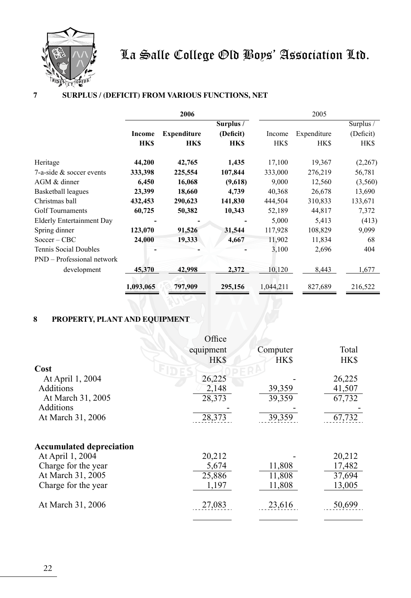

## **7 SURPLUS / (DEFICIT) FROM VARIOUS FUNCTIONS, NET**

|                                  | 2006        |                    |            | 2005      |             |           |
|----------------------------------|-------------|--------------------|------------|-----------|-------------|-----------|
|                                  |             |                    | Surplus /  |           |             | Surplus / |
|                                  | Income      | <b>Expenditure</b> | (Deficit)  | Income    | Expenditure | (Deficit) |
|                                  | <b>HK\$</b> | <b>HK\$</b>        | <b>HKS</b> | HK\$      | <b>HK\$</b> | HK\$      |
| Heritage                         | 44,200      | 42,765             | 1,435      | 17,100    | 19,367      | (2,267)   |
| 7-a-side & soccer events         | 333,398     | 225,554            | 107,844    | 333,000   | 276,219     | 56,781    |
| AGM & dinner                     | 6,450       | 16,068             | (9,618)    | 9,000     | 12,560      | (3,560)   |
| Basketball leagues               | 23,399      | 18,660             | 4,739      | 40,368    | 26,678      | 13,690    |
| Christmas ball                   | 432,453     | 290,623            | 141,830    | 444,504   | 310,833     | 133,671   |
| Golf Tournaments                 | 60,725      | 50,382             | 10,343     | 52,189    | 44,817      | 7,372     |
| <b>Elderly Entertainment Day</b> |             |                    |            | 5,000     | 5,413       | (413)     |
| Spring dinner                    | 123,070     | 91,526             | 31,544     | 117,928   | 108,829     | 9,099     |
| $Soccer - CBC$                   | 24,000      | 19,333             | 4,667      | 11,902    | 11,834      | 68        |
| Tennis Social Doubles            |             |                    |            | 3,100     | 2,696       | 404       |
| PND – Professional network       |             |                    |            |           |             |           |
| development                      | 45,370      | 42,998             | 2,372      | 10,120    | 8,443       | 1,677     |
|                                  | 1,093,065   | 797,909            | 295,156    | 1,044,211 | 827,689     | 216,522   |

## **8 PROPERTY, PLANT AND EQUIPMENT**

|                                 | Office     |            |            |
|---------------------------------|------------|------------|------------|
|                                 | equipment  | Computer   | Total      |
|                                 | <b>HKS</b> | <b>HKS</b> | <b>HKS</b> |
| Cost                            |            |            |            |
| At April 1, 2004                | 26,225     |            | 26,225     |
| Additions                       | 2,148      | 39,359     | 41,507     |
| At March 31, 2005               | 28,373     | 39,359     | 67,732     |
| Additions                       |            |            |            |
| At March 31, 2006               | 28,373     | 39,359     | 67, 732    |
| <b>Accumulated depreciation</b> |            |            |            |
| At April 1, 2004                | 20,212     |            | 20,212     |
| Charge for the year             | 5,674      | 11,808     | 17,482     |
| At March 31, 2005               | 25,886     | 11,808     | 37,694     |
| Charge for the year             | 1,197      | 11,808     | 13,005     |
| At March 31, 2006               | 27,083     | 23,616     | 50,699     |
|                                 |            |            |            |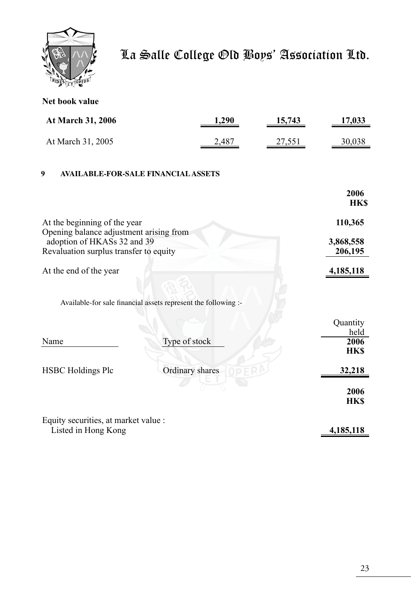

|  | Net book value |
|--|----------------|
|  |                |

| At March 31, 2006                               | 1,290 | 15,743 | 17,033             |
|-------------------------------------------------|-------|--------|--------------------|
| At March 31, 2005                               | 2,487 | 27,551 | 30,038             |
| 9<br><b>AVAILABLE-FOR-SALE FINANCIAL ASSETS</b> |       |        |                    |
|                                                 |       |        | 2006<br><b>HKS</b> |
| At the beginning of the year                    |       |        | 110.365            |

| $\frac{1}{100}$ and $\frac{1}{100}$ and $\frac{1}{100}$ and $\frac{1}{100}$ | <b>*******</b> |
|-----------------------------------------------------------------------------|----------------|
| Opening balance adjustment arising from                                     |                |
| adoption of HKASs 32 and 39                                                 | 3,868,558      |
| Revaluation surplus transfer to equity                                      | 206,195        |
|                                                                             |                |

At the end of the year **4,185,118** 

 Available-for sale financial assets represent the following :-

|                                      |                 | Quantity<br>held   |
|--------------------------------------|-----------------|--------------------|
| Name                                 | Type of stock   | 2006<br><b>HKS</b> |
| <b>HSBC</b> Holdings Plc             | Ordinary shares | 32,218             |
|                                      |                 | 2006<br><b>HKS</b> |
| Equity securities, at market value : |                 |                    |

Listed in Hong Kong **4,185,118**